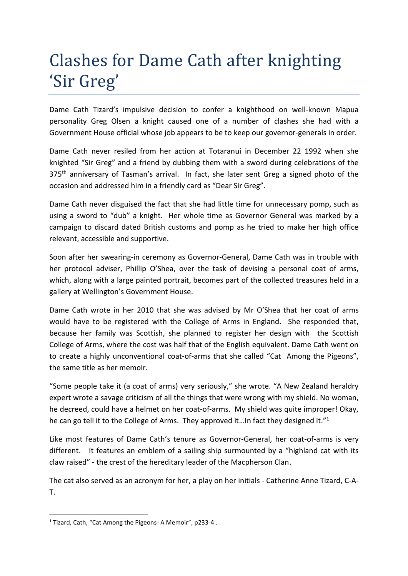## Clashes for Dame Cath after knighting 'Sir Greg'

Dame Cath Tizard's impulsive decision to confer a knighthood on well-known Mapua personality Greg Olsen a knight caused one of a number of clashes she had with a Government House official whose job appears to be to keep our governor-generals in order.

Dame Cath never resiled from her action at Totaranui in December 22 1992 when she knighted "Sir Greg" and a friend by dubbing them with a sword during celebrations of the 375<sup>th</sup> anniversary of Tasman's arrival. In fact, she later sent Greg a signed photo of the occasion and addressed him in a friendly card as "Dear Sir Greg".

Dame Cath never disguised the fact that she had little time for unnecessary pomp, such as using a sword to "dub" a knight. Her whole time as Governor General was marked by a campaign to discard dated British customs and pomp as he tried to make her high office relevant, accessible and supportive.

Soon after her swearing-in ceremony as Governor-General, Dame Cath was in trouble with her protocol adviser, Phillip O'Shea, over the task of devising a personal coat of arms, which, along with a large painted portrait, becomes part of the collected treasures held in a gallery at Wellington's Government House.

Dame Cath wrote in her 2010 that she was advised by Mr O'Shea that her coat of arms would have to be registered with the College of Arms in England. She responded that, because her family was Scottish, she planned to register her design with the Scottish College of Arms, where the cost was half that of the English equivalent. Dame Cath went on to create a highly unconventional coat-of-arms that she called "Cat Among the Pigeons", the same title as her memoir.

"Some people take it (a coat of arms) very seriously," she wrote. "A New Zealand heraldry expert wrote a savage criticism of all the things that were wrong with my shield. No woman, he decreed, could have a helmet on her coat-of-arms. My shield was quite improper! Okay, he can go tell it to the College of Arms. They approved it... In fact they designed it."<sup>1</sup>

Like most features of Dame Cath's tenure as Governor-General, her coat-of-arms is very different. It features an emblem of a sailing ship surmounted by a "highland cat with its claw raised" - the crest of the hereditary leader of the Macpherson Clan.

The cat also served as an acronym for her, a play on her initials - Catherine Anne Tizard, C-A-T.

**.** 

<sup>1</sup> Tizard, Cath, "Cat Among the Pigeons- A Memoir", p233-4 .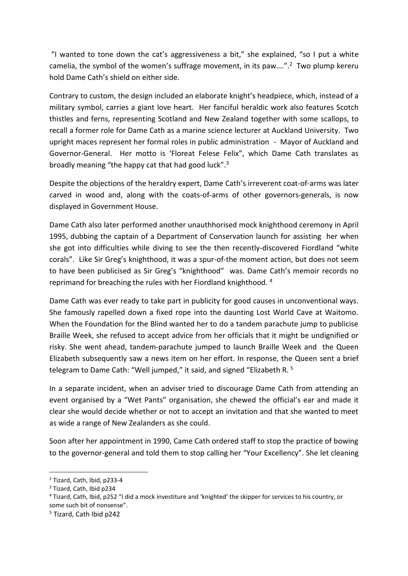"I wanted to tone down the cat's aggressiveness a bit," she explained, "so I put a white camelia, the symbol of the women's suffrage movement, in its paw....".<sup>2</sup> Two plump kereru hold Dame Cath's shield on either side.

Contrary to custom, the design included an elaborate knight's headpiece, which, instead of a military symbol, carries a giant love heart. Her fanciful heraldic work also features Scotch thistles and ferns, representing Scotland and New Zealand together with some scallops, to recall a former role for Dame Cath as a marine science lecturer at Auckland University. Two upright maces represent her formal roles in public administration - Mayor of Auckland and Governor-General. Her motto is 'Floreat Felese Felix", which Dame Cath translates as broadly meaning "the happy cat that had good luck".<sup>3</sup>

Despite the objections of the heraldry expert, Dame Cath's irreverent coat-of-arms was later carved in wood and, along with the coats-of-arms of other governors-generals, is now displayed in Government House.

Dame Cath also later performed another unauthhorised mock knighthood ceremony in April 1995, dubbing the captain of a Department of Conservation launch for assisting her when she got into difficulties while diving to see the then recently-discovered Fiordland "white corals". Like Sir Greg's knighthood, it was a spur-of-the moment action, but does not seem to have been publicised as Sir Greg's "knighthood" was. Dame Cath's memoir records no reprimand for breaching the rules with her Fiordland knighthood.<sup>4</sup>

Dame Cath was ever ready to take part in publicity for good causes in unconventional ways. She famously rapelled down a fixed rope into the daunting Lost World Cave at Waitomo. When the Foundation for the Blind wanted her to do a tandem parachute jump to publicise Braille Week, she refused to accept advice from her officials that it might be undignified or risky. She went ahead, tandem-parachute jumped to launch Braille Week and the Queen Elizabeth subsequently saw a news item on her effort. In response, the Queen sent a brief telegram to Dame Cath: "Well jumped," it said, and signed "Elizabeth R. <sup>5</sup>

In a separate incident, when an adviser tried to discourage Dame Cath from attending an event organised by a "Wet Pants" organisation, she chewed the official's ear and made it clear she would decide whether or not to accept an invitation and that she wanted to meet as wide a range of New Zealanders as she could.

Soon after her appointment in 1990, Came Cath ordered staff to stop the practice of bowing to the governor-general and told them to stop calling her "Your Excellency". She let cleaning

1

<sup>2</sup> Tizard, Cath, Ibid, p233-4

<sup>3</sup> Tizard, Cath, Ibid p234

<sup>4</sup> Tizard, Cath, Ibid, p252 "I did a mock investiture and 'knighted' the skipper for services to his country, or some such bit of nonsense".

<sup>5</sup> Tizard, Cath Ibid p242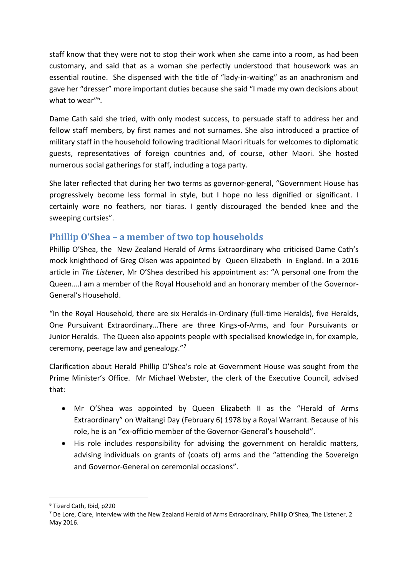staff know that they were not to stop their work when she came into a room, as had been customary, and said that as a woman she perfectly understood that housework was an essential routine. She dispensed with the title of "lady-in-waiting" as an anachronism and gave her "dresser" more important duties because she said "I made my own decisions about what to wear"<sup>6</sup>.

Dame Cath said she tried, with only modest success, to persuade staff to address her and fellow staff members, by first names and not surnames. She also introduced a practice of military staff in the household following traditional Maori rituals for welcomes to diplomatic guests, representatives of foreign countries and, of course, other Maori. She hosted numerous social gatherings for staff, including a toga party.

She later reflected that during her two terms as governor-general, "Government House has progressively become less formal in style, but I hope no less dignified or significant. I certainly wore no feathers, nor tiaras. I gently discouraged the bended knee and the sweeping curtsies".

## **Phillip O'Shea – a member of two top households**

Phillip O'Shea, the New Zealand Herald of Arms Extraordinary who criticised Dame Cath's mock knighthood of Greg Olsen was appointed by Queen Elizabeth in England. In a 2016 article in *The Listener*, Mr O'Shea described his appointment as: "A personal one from the Queen….I am a member of the Royal Household and an honorary member of the Governor-General's Household.

"In the Royal Household, there are six Heralds-in-Ordinary (full-time Heralds), five Heralds, One Pursuivant Extraordinary…There are three Kings-of-Arms, and four Pursuivants or Junior Heralds. The Queen also appoints people with specialised knowledge in, for example, ceremony, peerage law and genealogy."<sup>7</sup>

Clarification about Herald Phillip O'Shea's role at Government House was sought from the Prime Minister's Office. Mr Michael Webster, the clerk of the Executive Council, advised that:

- Mr O'Shea was appointed by Queen Elizabeth II as the "Herald of Arms Extraordinary" on Waitangi Day (February 6) 1978 by a Royal Warrant. Because of his role, he is an "ex-officio member of the Governor-General's household".
- His role includes responsibility for advising the government on heraldic matters, advising individuals on grants of (coats of) arms and the "attending the Sovereign and Governor-General on ceremonial occasions".

**<sup>.</sup>** <sup>6</sup> Tizard Cath, Ibid, p220

<sup>7</sup> De Lore, Clare, Interview with the New Zealand Herald of Arms Extraordinary, Phillip O'Shea, The Listener, 2 May 2016.